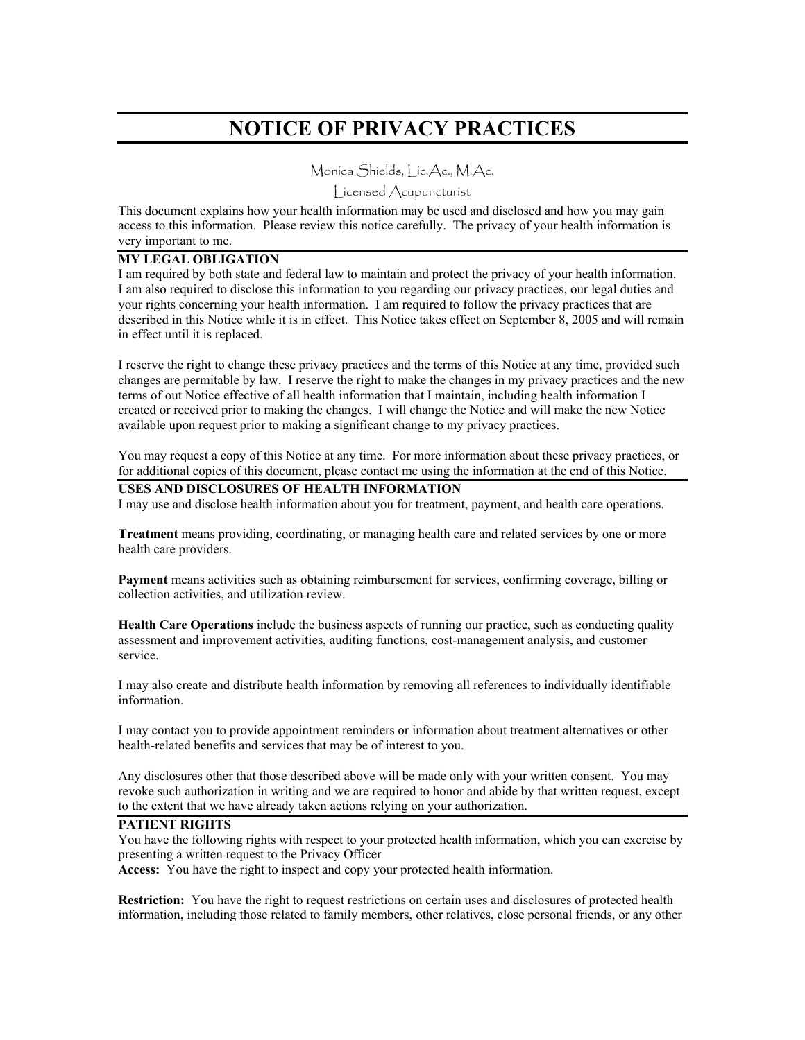# **NOTICE OF PRIVACY PRACTICES**

Monica Shields, Lic.Ac., M.Ac.

Licensed Acupuncturist

This document explains how your health information may be used and disclosed and how you may gain access to this information. Please review this notice carefully. The privacy of your health information is very important to me.

#### **MY LEGAL OBLIGATION**

I am required by both state and federal law to maintain and protect the privacy of your health information. I am also required to disclose this information to you regarding our privacy practices, our legal duties and your rights concerning your health information. I am required to follow the privacy practices that are described in this Notice while it is in effect. This Notice takes effect on September 8, 2005 and will remain in effect until it is replaced.

I reserve the right to change these privacy practices and the terms of this Notice at any time, provided such changes are permitable by law. I reserve the right to make the changes in my privacy practices and the new terms of out Notice effective of all health information that I maintain, including health information I created or received prior to making the changes. I will change the Notice and will make the new Notice available upon request prior to making a significant change to my privacy practices.

You may request a copy of this Notice at any time. For more information about these privacy practices, or for additional copies of this document, please contact me using the information at the end of this Notice.

#### **USES AND DISCLOSURES OF HEALTH INFORMATION**

I may use and disclose health information about you for treatment, payment, and health care operations.

**Treatment** means providing, coordinating, or managing health care and related services by one or more health care providers.

**Payment** means activities such as obtaining reimbursement for services, confirming coverage, billing or collection activities, and utilization review.

**Health Care Operations** include the business aspects of running our practice, such as conducting quality assessment and improvement activities, auditing functions, cost-management analysis, and customer service.

I may also create and distribute health information by removing all references to individually identifiable information.

I may contact you to provide appointment reminders or information about treatment alternatives or other health-related benefits and services that may be of interest to you.

Any disclosures other that those described above will be made only with your written consent. You may revoke such authorization in writing and we are required to honor and abide by that written request, except to the extent that we have already taken actions relying on your authorization.

## **PATIENT RIGHTS**

You have the following rights with respect to your protected health information, which you can exercise by presenting a written request to the Privacy Officer

**Access:** You have the right to inspect and copy your protected health information.

**Restriction:** You have the right to request restrictions on certain uses and disclosures of protected health information, including those related to family members, other relatives, close personal friends, or any other